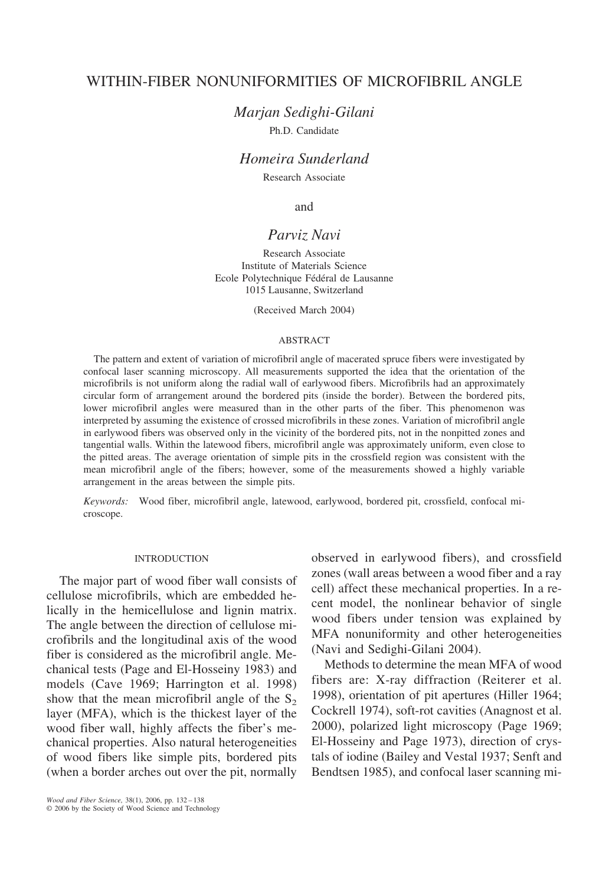# WITHIN-FIBER NONUNIFORMITIES OF MICROFIBRIL ANGLE

*Marjan Sedighi-Gilani*

Ph.D. Candidate

# *Homeira Sunderland*

Research Associate

and

# *Parviz Navi*

Research Associate Institute of Materials Science Ecole Polytechnique Fédéral de Lausanne 1015 Lausanne, Switzerland

(Received March 2004)

## ABSTRACT

The pattern and extent of variation of microfibril angle of macerated spruce fibers were investigated by confocal laser scanning microscopy. All measurements supported the idea that the orientation of the microfibrils is not uniform along the radial wall of earlywood fibers. Microfibrils had an approximately circular form of arrangement around the bordered pits (inside the border). Between the bordered pits, lower microfibril angles were measured than in the other parts of the fiber. This phenomenon was interpreted by assuming the existence of crossed microfibrils in these zones. Variation of microfibril angle in earlywood fibers was observed only in the vicinity of the bordered pits, not in the nonpitted zones and tangential walls. Within the latewood fibers, microfibril angle was approximately uniform, even close to the pitted areas. The average orientation of simple pits in the crossfield region was consistent with the mean microfibril angle of the fibers; however, some of the measurements showed a highly variable arrangement in the areas between the simple pits.

*Keywords:* Wood fiber, microfibril angle, latewood, earlywood, bordered pit, crossfield, confocal microscope.

### INTRODUCTION

The major part of wood fiber wall consists of cellulose microfibrils, which are embedded helically in the hemicellulose and lignin matrix. The angle between the direction of cellulose microfibrils and the longitudinal axis of the wood fiber is considered as the microfibril angle. Mechanical tests (Page and El-Hosseiny 1983) and models (Cave 1969; Harrington et al. 1998) show that the mean microfibril angle of the  $S<sub>2</sub>$ layer (MFA), which is the thickest layer of the wood fiber wall, highly affects the fiber's mechanical properties. Also natural heterogeneities of wood fibers like simple pits, bordered pits (when a border arches out over the pit, normally

observed in earlywood fibers), and crossfield zones (wall areas between a wood fiber and a ray cell) affect these mechanical properties. In a recent model, the nonlinear behavior of single wood fibers under tension was explained by MFA nonuniformity and other heterogeneities (Navi and Sedighi-Gilani 2004).

Methods to determine the mean MFA of wood fibers are: X-ray diffraction (Reiterer et al. 1998), orientation of pit apertures (Hiller 1964; Cockrell 1974), soft-rot cavities (Anagnost et al. 2000), polarized light microscopy (Page 1969; El-Hosseiny and Page 1973), direction of crystals of iodine (Bailey and Vestal 1937; Senft and Bendtsen 1985), and confocal laser scanning mi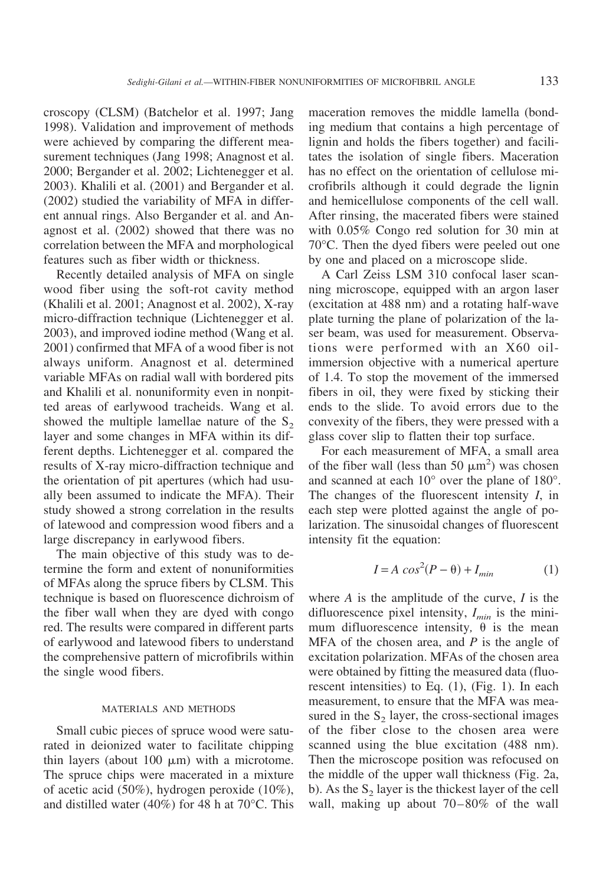croscopy (CLSM) (Batchelor et al. 1997; Jang 1998). Validation and improvement of methods were achieved by comparing the different measurement techniques (Jang 1998; Anagnost et al. 2000; Bergander et al. 2002; Lichtenegger et al. 2003). Khalili et al. (2001) and Bergander et al. (2002) studied the variability of MFA in different annual rings. Also Bergander et al. and Anagnost et al. (2002) showed that there was no correlation between the MFA and morphological features such as fiber width or thickness.

Recently detailed analysis of MFA on single wood fiber using the soft-rot cavity method (Khalili et al. 2001; Anagnost et al. 2002), X-ray micro-diffraction technique (Lichtenegger et al. 2003), and improved iodine method (Wang et al. 2001) confirmed that MFA of a wood fiber is not always uniform. Anagnost et al. determined variable MFAs on radial wall with bordered pits and Khalili et al. nonuniformity even in nonpitted areas of earlywood tracheids. Wang et al. showed the multiple lamellae nature of the  $S_2$ layer and some changes in MFA within its different depths. Lichtenegger et al. compared the results of X-ray micro-diffraction technique and the orientation of pit apertures (which had usually been assumed to indicate the MFA). Their study showed a strong correlation in the results of latewood and compression wood fibers and a large discrepancy in earlywood fibers.

The main objective of this study was to determine the form and extent of nonuniformities of MFAs along the spruce fibers by CLSM. This technique is based on fluorescence dichroism of the fiber wall when they are dyed with congo red. The results were compared in different parts of earlywood and latewood fibers to understand the comprehensive pattern of microfibrils within the single wood fibers.

### MATERIALS AND METHODS

Small cubic pieces of spruce wood were saturated in deionized water to facilitate chipping thin layers (about  $100 \mu m$ ) with a microtome. The spruce chips were macerated in a mixture of acetic acid (50%), hydrogen peroxide (10%), and distilled water (40%) for 48 h at 70°C. This maceration removes the middle lamella (bonding medium that contains a high percentage of lignin and holds the fibers together) and facilitates the isolation of single fibers. Maceration has no effect on the orientation of cellulose microfibrils although it could degrade the lignin and hemicellulose components of the cell wall. After rinsing, the macerated fibers were stained with 0.05% Congo red solution for 30 min at 70°C. Then the dyed fibers were peeled out one by one and placed on a microscope slide.

A Carl Zeiss LSM 310 confocal laser scanning microscope, equipped with an argon laser (excitation at 488 nm) and a rotating half-wave plate turning the plane of polarization of the laser beam, was used for measurement. Observations were performed with an X60 oilimmersion objective with a numerical aperture of 1.4. To stop the movement of the immersed fibers in oil, they were fixed by sticking their ends to the slide. To avoid errors due to the convexity of the fibers, they were pressed with a glass cover slip to flatten their top surface.

For each measurement of MFA, a small area of the fiber wall (less than 50  $\mu$ m<sup>2</sup>) was chosen and scanned at each 10° over the plane of 180°. The changes of the fluorescent intensity *I*, in each step were plotted against the angle of polarization. The sinusoidal changes of fluorescent intensity fit the equation:

$$
I = A \cos^2(P - \theta) + I_{min} \tag{1}
$$

where *A* is the amplitude of the curve, *I* is the difluorescence pixel intensity,  $I_{min}$  is the minimum difluorescence intensity,  $\theta$  is the mean MFA of the chosen area, and *P* is the angle of excitation polarization. MFAs of the chosen area were obtained by fitting the measured data (fluorescent intensities) to Eq. (1), (Fig. 1). In each measurement, to ensure that the MFA was measured in the  $S_2$  layer, the cross-sectional images of the fiber close to the chosen area were scanned using the blue excitation (488 nm). Then the microscope position was refocused on the middle of the upper wall thickness (Fig. 2a, b). As the  $S_2$  layer is the thickest layer of the cell wall, making up about 70–80% of the wall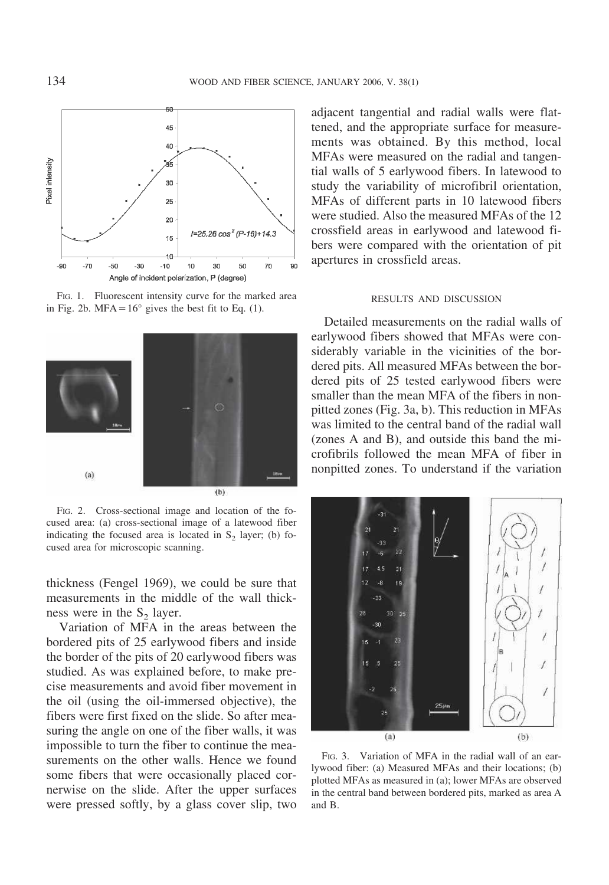

FIG. 1. Fluorescent intensity curve for the marked area in Fig. 2b. MFA $=$ 16° gives the best fit to Eq. (1).



FIG. 2. Cross-sectional image and location of the focused area: (a) cross-sectional image of a latewood fiber indicating the focused area is located in  $S<sub>2</sub>$  layer; (b) focused area for microscopic scanning.

thickness (Fengel 1969), we could be sure that measurements in the middle of the wall thickness were in the  $S_2$  layer.

Variation of MFA in the areas between the bordered pits of 25 earlywood fibers and inside the border of the pits of 20 earlywood fibers was studied. As was explained before, to make precise measurements and avoid fiber movement in the oil (using the oil-immersed objective), the fibers were first fixed on the slide. So after measuring the angle on one of the fiber walls, it was impossible to turn the fiber to continue the measurements on the other walls. Hence we found some fibers that were occasionally placed cornerwise on the slide. After the upper surfaces were pressed softly, by a glass cover slip, two

adjacent tangential and radial walls were flattened, and the appropriate surface for measurements was obtained. By this method, local MFAs were measured on the radial and tangential walls of 5 earlywood fibers. In latewood to study the variability of microfibril orientation, MFAs of different parts in 10 latewood fibers were studied. Also the measured MFAs of the 12 crossfield areas in earlywood and latewood fibers were compared with the orientation of pit apertures in crossfield areas.

### RESULTS AND DISCUSSION

Detailed measurements on the radial walls of earlywood fibers showed that MFAs were considerably variable in the vicinities of the bordered pits. All measured MFAs between the bordered pits of 25 tested earlywood fibers were smaller than the mean MFA of the fibers in nonpitted zones (Fig. 3a, b). This reduction in MFAs was limited to the central band of the radial wall (zones A and B), and outside this band the microfibrils followed the mean MFA of fiber in nonpitted zones. To understand if the variation



FIG. 3. Variation of MFA in the radial wall of an earlywood fiber: (a) Measured MFAs and their locations; (b) plotted MFAs as measured in (a); lower MFAs are observed in the central band between bordered pits, marked as area A and B.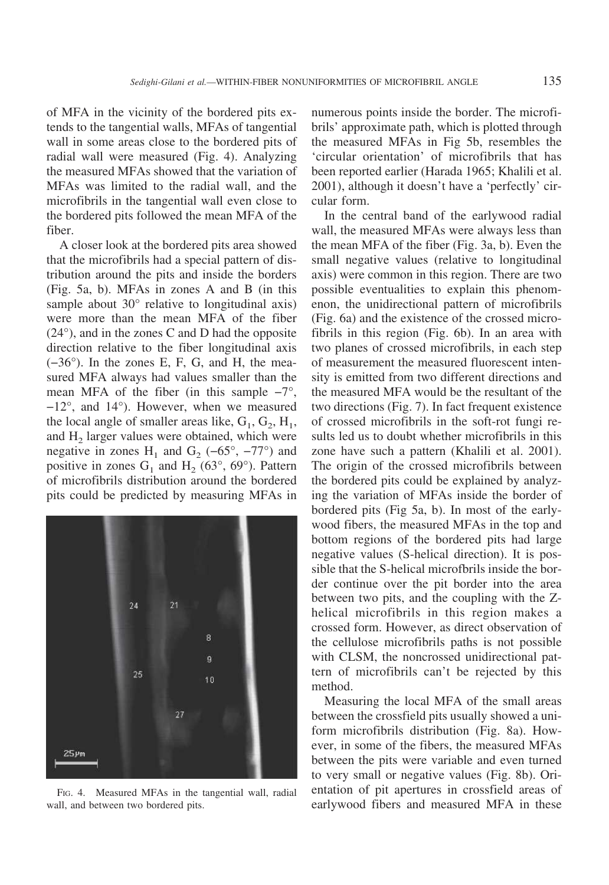of MFA in the vicinity of the bordered pits extends to the tangential walls, MFAs of tangential wall in some areas close to the bordered pits of radial wall were measured (Fig. 4). Analyzing the measured MFAs showed that the variation of MFAs was limited to the radial wall, and the microfibrils in the tangential wall even close to the bordered pits followed the mean MFA of the fiber.

A closer look at the bordered pits area showed that the microfibrils had a special pattern of distribution around the pits and inside the borders (Fig. 5a, b). MFAs in zones A and B (in this sample about 30° relative to longitudinal axis) were more than the mean MFA of the fiber (24°), and in the zones C and D had the opposite direction relative to the fiber longitudinal axis (−36°). In the zones E, F, G, and H, the measured MFA always had values smaller than the mean MFA of the fiber (in this sample  $-7^\circ$ , −12°, and 14°). However, when we measured the local angle of smaller areas like,  $G_1$ ,  $G_2$ ,  $H_1$ , and  $H_2$  larger values were obtained, which were negative in zones H<sub>1</sub> and G<sub>2</sub> (−65°, −77°) and positive in zones  $G_1$  and  $H_2$  (63°, 69°). Pattern of microfibrils distribution around the bordered pits could be predicted by measuring MFAs in



FIG. 4. Measured MFAs in the tangential wall, radial wall, and between two bordered pits.

numerous points inside the border. The microfibrils' approximate path, which is plotted through the measured MFAs in Fig 5b, resembles the 'circular orientation' of microfibrils that has been reported earlier (Harada 1965; Khalili et al. 2001), although it doesn't have a 'perfectly' circular form.

In the central band of the earlywood radial wall, the measured MFAs were always less than the mean MFA of the fiber (Fig. 3a, b). Even the small negative values (relative to longitudinal axis) were common in this region. There are two possible eventualities to explain this phenomenon, the unidirectional pattern of microfibrils (Fig. 6a) and the existence of the crossed microfibrils in this region (Fig. 6b). In an area with two planes of crossed microfibrils, in each step of measurement the measured fluorescent intensity is emitted from two different directions and the measured MFA would be the resultant of the two directions (Fig. 7). In fact frequent existence of crossed microfibrils in the soft-rot fungi results led us to doubt whether microfibrils in this zone have such a pattern (Khalili et al. 2001). The origin of the crossed microfibrils between the bordered pits could be explained by analyzing the variation of MFAs inside the border of bordered pits (Fig 5a, b). In most of the earlywood fibers, the measured MFAs in the top and bottom regions of the bordered pits had large negative values (S-helical direction). It is possible that the S-helical microfbrils inside the border continue over the pit border into the area between two pits, and the coupling with the Zhelical microfibrils in this region makes a crossed form. However, as direct observation of the cellulose microfibrils paths is not possible with CLSM, the noncrossed unidirectional pattern of microfibrils can't be rejected by this method.

Measuring the local MFA of the small areas between the crossfield pits usually showed a uniform microfibrils distribution (Fig. 8a). However, in some of the fibers, the measured MFAs between the pits were variable and even turned to very small or negative values (Fig. 8b). Orientation of pit apertures in crossfield areas of earlywood fibers and measured MFA in these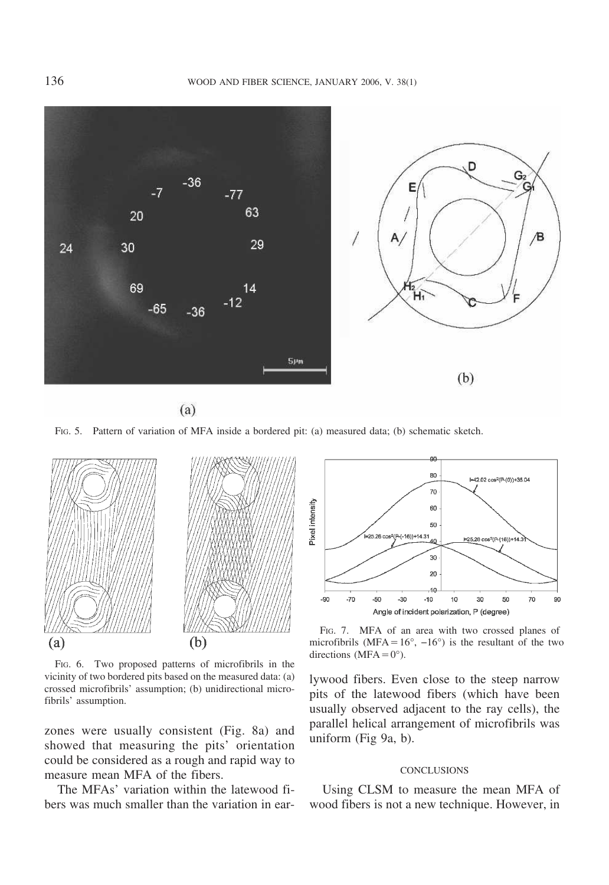

 $(a)$ 

FIG. 5. Pattern of variation of MFA inside a bordered pit: (a) measured data; (b) schematic sketch.



FIG. 6. Two proposed patterns of microfibrils in the vicinity of two bordered pits based on the measured data: (a) crossed microfibrils' assumption; (b) unidirectional microfibrils' assumption.

zones were usually consistent (Fig. 8a) and showed that measuring the pits' orientation could be considered as a rough and rapid way to measure mean MFA of the fibers.

The MFAs' variation within the latewood fibers was much smaller than the variation in ear-



FIG. 7. MFA of an area with two crossed planes of microfibrils (MFA=16°,  $-16°$ ) is the resultant of the two directions (MFA $=0^{\circ}$ ).

lywood fibers. Even close to the steep narrow pits of the latewood fibers (which have been usually observed adjacent to the ray cells), the parallel helical arrangement of microfibrils was uniform (Fig 9a, b).

#### **CONCLUSIONS**

Using CLSM to measure the mean MFA of wood fibers is not a new technique. However, in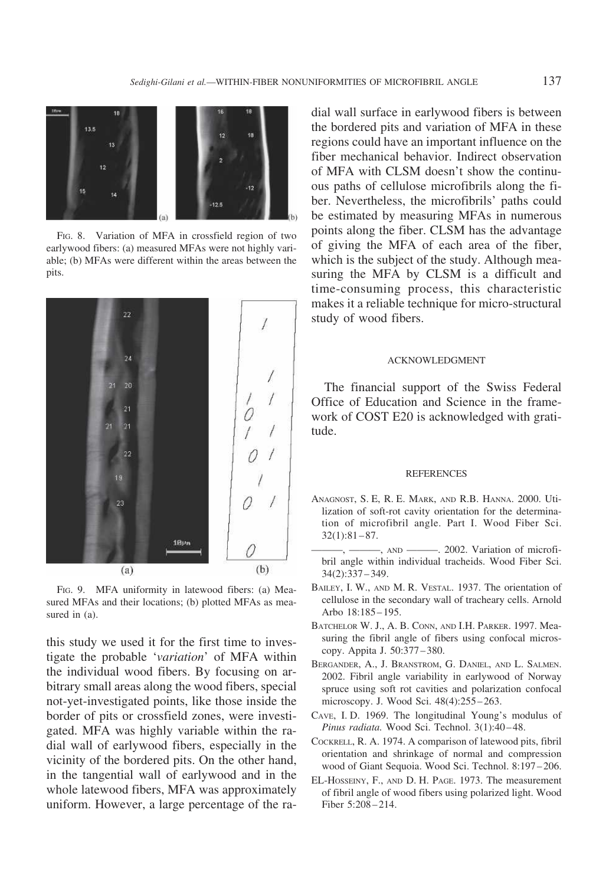

FIG. 8. Variation of MFA in crossfield region of two earlywood fibers: (a) measured MFAs were not highly variable; (b) MFAs were different within the areas between the pits.



FIG. 9. MFA uniformity in latewood fibers: (a) Measured MFAs and their locations; (b) plotted MFAs as measured in (a).

this study we used it for the first time to investigate the probable '*variation*' of MFA within the individual wood fibers. By focusing on arbitrary small areas along the wood fibers, special not-yet-investigated points, like those inside the border of pits or crossfield zones, were investigated. MFA was highly variable within the radial wall of earlywood fibers, especially in the vicinity of the bordered pits. On the other hand, in the tangential wall of earlywood and in the whole latewood fibers, MFA was approximately uniform. However, a large percentage of the radial wall surface in earlywood fibers is between the bordered pits and variation of MFA in these regions could have an important influence on the fiber mechanical behavior. Indirect observation of MFA with CLSM doesn't show the continuous paths of cellulose microfibrils along the fiber. Nevertheless, the microfibrils' paths could be estimated by measuring MFAs in numerous points along the fiber. CLSM has the advantage of giving the MFA of each area of the fiber, which is the subject of the study. Although measuring the MFA by CLSM is a difficult and time-consuming process, this characteristic makes it a reliable technique for micro-structural study of wood fibers.

#### ACKNOWLEDGMENT

The financial support of the Swiss Federal Office of Education and Science in the framework of COST E20 is acknowledged with gratitude.

### **REFERENCES**

- ANAGNOST, S. E, R. E. MARK, AND R.B. HANNA. 2000. Utilization of soft-rot cavity orientation for the determination of microfibril angle. Part I. Wood Fiber Sci. 32(1):81–87.
- -, ———, AND ———. 2002. Variation of microfibril angle within individual tracheids. Wood Fiber Sci. 34(2):337–349.
- BAILEY, I. W., AND M. R. VESTAL. 1937. The orientation of cellulose in the secondary wall of tracheary cells. Arnold Arbo 18:185–195.
- BATCHELOR W. J., A. B. CONN, AND I.H. PARKER. 1997. Measuring the fibril angle of fibers using confocal microscopy. Appita J. 50:377–380.
- BERGANDER, A., J. BRANSTROM, G. DANIEL, AND L. SALMEN. 2002. Fibril angle variability in earlywood of Norway spruce using soft rot cavities and polarization confocal microscopy. J. Wood Sci. 48(4):255–263.
- CAVE, I. D. 1969. The longitudinal Young's modulus of *Pinus radiata.* Wood Sci. Technol. 3(1):40–48.
- COCKRELL, R. A. 1974. A comparison of latewood pits, fibril orientation and shrinkage of normal and compression wood of Giant Sequoia. Wood Sci. Technol. 8:197–206.
- EL-HOSSEINY, F., AND D. H. PAGE. 1973. The measurement of fibril angle of wood fibers using polarized light. Wood Fiber 5:208–214.